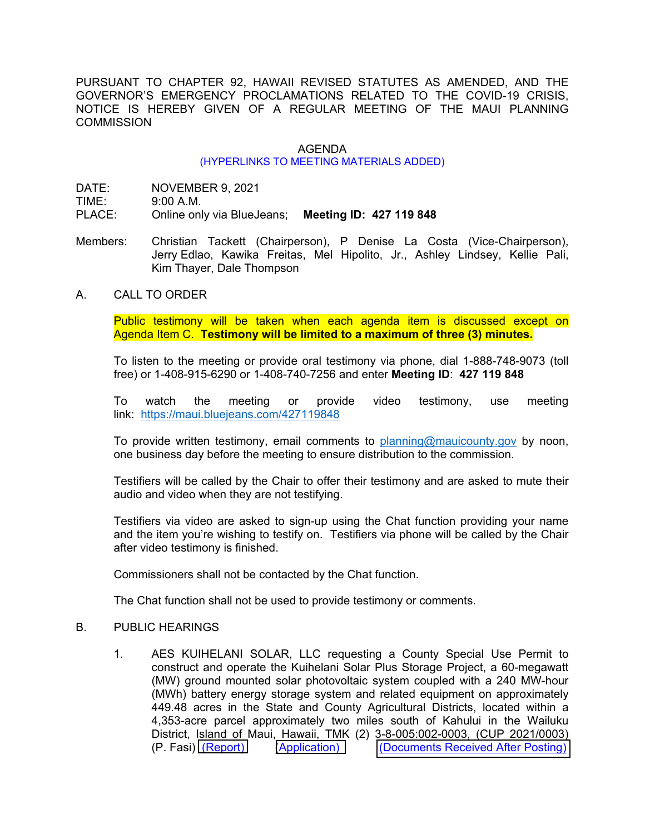PURSUANT TO CHAPTER 92, HAWAII REVISED STATUTES AS AMENDED, AND THE GOVERNOR'S EMERGENCY PROCLAMATIONS RELATED TO THE COVID-19 CRISIS, NOTICE IS HEREBY GIVEN OF A REGULAR MEETING OF THE MAUI PLANNING **COMMISSION** 

## AGENDA

## (HYPERLINKS TO MEETING MATERIALS ADDED)

DATE: NOVEMBER 9, 2021

TIME: 9:00 A.M.

PLACE: Online only via BlueJeans; **Meeting ID: 427 119 848**

- Members: Christian Tackett (Chairperson), P Denise La Costa (Vice-Chairperson), Jerry Edlao, Kawika Freitas, Mel Hipolito, Jr., Ashley Lindsey, Kellie Pali, Kim Thayer, Dale Thompson
- A. CALL TO ORDER

Public testimony will be taken when each agenda item is discussed except on Agenda Item C. **Testimony will be limited to a maximum of three (3) minutes.**

To listen to the meeting or provide oral testimony via phone, dial 1-888-748-9073 (toll free) or 1-408-915-6290 or 1-408-740-7256 and enter **Meeting ID**: **427 119 848**

To watch the meeting or provide video testimony, use meeting link: <https://maui.bluejeans.com/427119848>

To provide written testimony, email comments to [planning@mauicounty.gov](mailto:planning@mauicounty.gov) by noon, one business day before the meeting to ensure distribution to the commission.

Testifiers will be called by the Chair to offer their testimony and are asked to mute their audio and video when they are not testifying.

Testifiers via video are asked to sign-up using the Chat function providing your name and the item you're wishing to testify on. Testifiers via phone will be called by the Chair after video testimony is finished.

Commissioners shall not be contacted by the Chat function.

The Chat function shall not be used to provide testimony or comments.

## B. PUBLIC HEARINGS

1. AES KUIHELANI SOLAR, LLC requesting a County Special Use Permit to construct and operate the Kuihelani Solar Plus Storage Project, a 60-megawatt (MW) ground mounted solar photovoltaic system coupled with a 240 MW-hour (MWh) battery energy storage system and related equipment on approximately 449.48 acres in the State and County Agricultural Districts, located within a 4,353-acre parcel approximately two miles south of Kahului in the Wailuku District, Island of Maui, Hawaii, TMK (2) 3-8-005:002-0003, (CUP 2021/0003)<br>(P. Fasi) (Report) (Application) (Documents Received After Posting) [\(Documents Received After Posting\)](https://www.mauicounty.gov/DocumentCenter/View/130214/110921_Agenda-Item-Item-B1_testimony-received-after-posting_110421)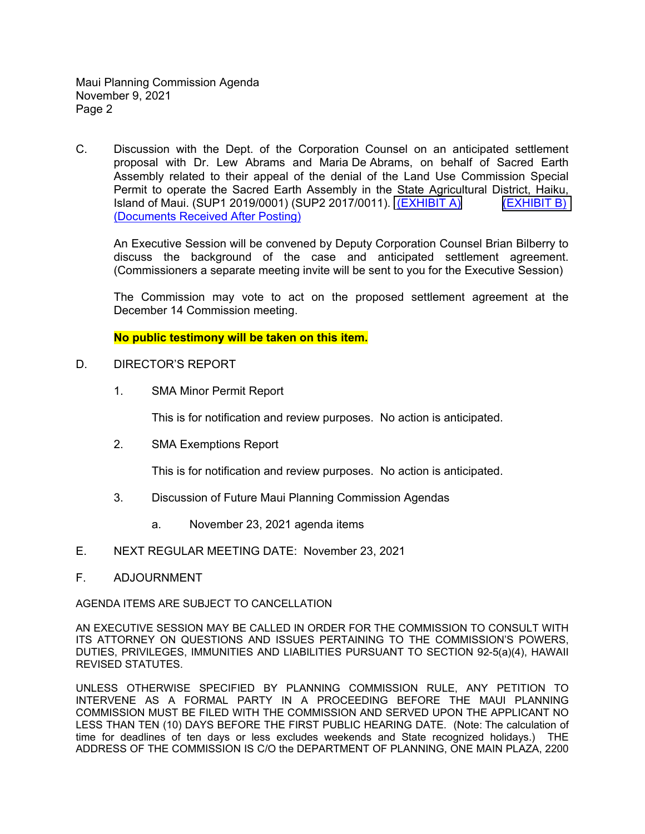Maui Planning Commission Agenda November 9, 2021 Page 2

C. Discussion with the Dept. of the Corporation Counsel on an anticipated settlement proposal with Dr. Lew Abrams and Maria De Abrams, on behalf of Sacred Earth Assembly related to their appeal of the denial of the Land Use Commission Special Permit to operate the Sacred Earth Assembly in the State Agricultural District, Haiku, Island of Maui. (SUP1 2019/0001) (SUP2 2017/0011). <u>(EXHIBIT A)</u> [\(EXHIBIT B\)](https://www.mauicounty.gov/DocumentCenter/View/130089/110921_Agenda-Item-C_Exhibit-B-05-10-2021-Findings-Conclusions--Order_Sacred-Earth-Assemby_SUP1-2019-0001-SUP2-2017-0011) (Documents Received After Posting)

An Executive Session will be convened by Deputy Corporation Counsel Brian Bilberry to discuss the background of the case and anticipated settlement agreement. (Commissioners a separate meeting invite will be sent to you for the Executive Session)

The Commission may vote to act on the proposed settlement agreement at the December 14 Commission meeting.

**No public testimony will be taken on this item.**

- D. DIRECTOR'S REPORT
	- 1. SMA Minor Permit Report

This is for notification and review purposes. No action is anticipated.

2. SMA Exemptions Report

This is for notification and review purposes. No action is anticipated.

- 3. Discussion of Future Maui Planning Commission Agendas
	- a. November 23, 2021 agenda items
- E. NEXT REGULAR MEETING DATE: November 23, 2021
- F. ADJOURNMENT

AGENDA ITEMS ARE SUBJECT TO CANCELLATION

AN EXECUTIVE SESSION MAY BE CALLED IN ORDER FOR THE COMMISSION TO CONSULT WITH ITS ATTORNEY ON QUESTIONS AND ISSUES PERTAINING TO THE COMMISSION'S POWERS, DUTIES, PRIVILEGES, IMMUNITIES AND LIABILITIES PURSUANT TO SECTION 92-5(a)(4), HAWAII REVISED STATUTES.

UNLESS OTHERWISE SPECIFIED BY PLANNING COMMISSION RULE, ANY PETITION TO INTERVENE AS A FORMAL PARTY IN A PROCEEDING BEFORE THE MAUI PLANNING COMMISSION MUST BE FILED WITH THE COMMISSION AND SERVED UPON THE APPLICANT NO LESS THAN TEN (10) DAYS BEFORE THE FIRST PUBLIC HEARING DATE. (Note: The calculation of time for deadlines of ten days or less excludes weekends and State recognized holidays.) THE ADDRESS OF THE COMMISSION IS C/O the DEPARTMENT OF PLANNING, ONE MAIN PLAZA, 2200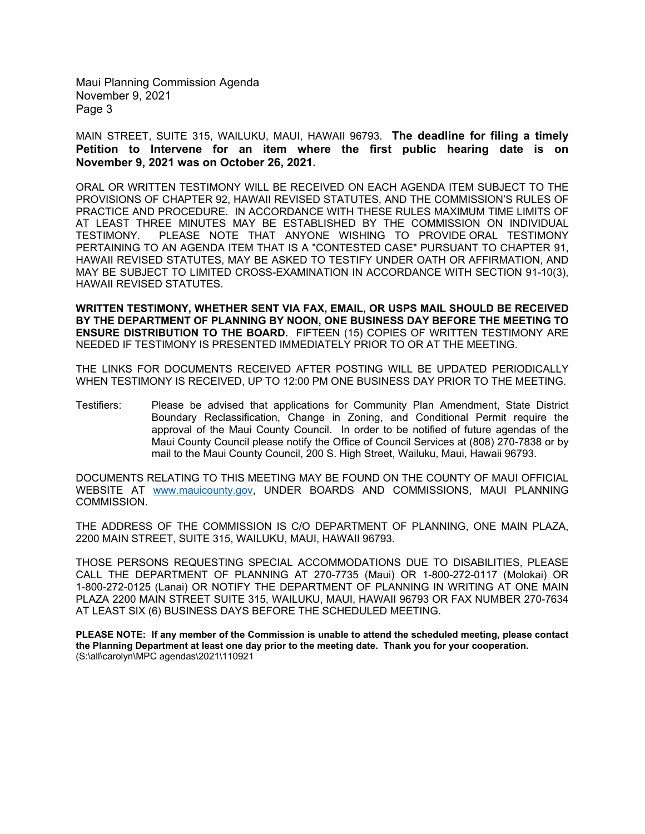Maui Planning Commission Agenda November 9, 2021 Page 3

MAIN STREET, SUITE 315, WAILUKU, MAUI, HAWAII 96793. **The deadline for filing a timely Petition to Intervene for an item where the first public hearing date is on November 9, 2021 was on October 26, 2021.**

ORAL OR WRITTEN TESTIMONY WILL BE RECEIVED ON EACH AGENDA ITEM SUBJECT TO THE PROVISIONS OF CHAPTER 92, HAWAII REVISED STATUTES, AND THE COMMISSION'S RULES OF PRACTICE AND PROCEDURE. IN ACCORDANCE WITH THESE RULES MAXIMUM TIME LIMITS OF AT LEAST THREE MINUTES MAY BE ESTABLISHED BY THE COMMISSION ON INDIVIDUAL TESTIMONY. PLEASE NOTE THAT ANYONE WISHING TO PROVIDE ORAL TESTIMONY PERTAINING TO AN AGENDA ITEM THAT IS A "CONTESTED CASE" PURSUANT TO CHAPTER 91, HAWAII REVISED STATUTES, MAY BE ASKED TO TESTIFY UNDER OATH OR AFFIRMATION, AND MAY BE SUBJECT TO LIMITED CROSS-EXAMINATION IN ACCORDANCE WITH SECTION 91-10(3), HAWAII REVISED STATUTES.

**WRITTEN TESTIMONY, WHETHER SENT VIA FAX, EMAIL, OR USPS MAIL SHOULD BE RECEIVED BY THE DEPARTMENT OF PLANNING BY NOON, ONE BUSINESS DAY BEFORE THE MEETING TO ENSURE DISTRIBUTION TO THE BOARD.** FIFTEEN (15) COPIES OF WRITTEN TESTIMONY ARE NEEDED IF TESTIMONY IS PRESENTED IMMEDIATELY PRIOR TO OR AT THE MEETING.

THE LINKS FOR DOCUMENTS RECEIVED AFTER POSTING WILL BE UPDATED PERIODICALLY WHEN TESTIMONY IS RECEIVED, UP TO 12:00 PM ONE BUSINESS DAY PRIOR TO THE MEETING.

Testifiers: Please be advised that applications for Community Plan Amendment, State District Boundary Reclassification, Change in Zoning, and Conditional Permit require the approval of the Maui County Council. In order to be notified of future agendas of the Maui County Council please notify the Office of Council Services at (808) 270-7838 or by mail to the Maui County Council, 200 S. High Street, Wailuku, Maui, Hawaii 96793.

DOCUMENTS RELATING TO THIS MEETING MAY BE FOUND ON THE COUNTY OF MAUI OFFICIAL WEBSITE AT [www.mauicounty.gov,](http://www.mauicounty.gov/) UNDER BOARDS AND COMMISSIONS, MAUI PLANNING COMMISSION.

THE ADDRESS OF THE COMMISSION IS C/O DEPARTMENT OF PLANNING, ONE MAIN PLAZA, 2200 MAIN STREET, SUITE 315, WAILUKU, MAUI, HAWAII 96793.

THOSE PERSONS REQUESTING SPECIAL ACCOMMODATIONS DUE TO DISABILITIES, PLEASE CALL THE DEPARTMENT OF PLANNING AT 270-7735 (Maui) OR 1-800-272-0117 (Molokai) OR 1-800-272-0125 (Lanai) OR NOTIFY THE DEPARTMENT OF PLANNING IN WRITING AT ONE MAIN PLAZA 2200 MAIN STREET SUITE 315, WAILUKU, MAUI, HAWAII 96793 OR FAX NUMBER 270-7634 AT LEAST SIX (6) BUSINESS DAYS BEFORE THE SCHEDULED MEETING.

**PLEASE NOTE: If any member of the Commission is unable to attend the scheduled meeting, please contact the Planning Department at least one day prior to the meeting date. Thank you for your cooperation.** (S:\all\carolyn\MPC agendas\2021\110921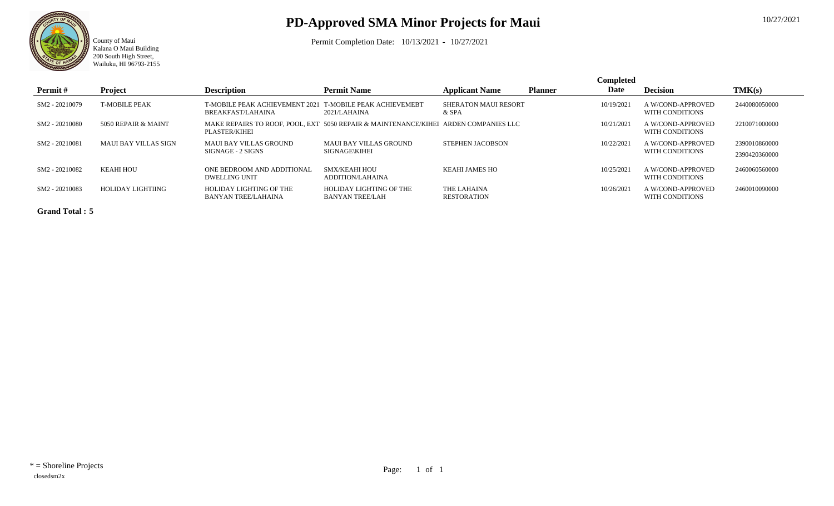

County of Maui

Kalana O Maui Building 200 South High Street, Wailuku, HI 96793-2155

## **PD-Approved SMA Minor Projects for Maui**

Permit Completion Date: 10/13/2021 - 10/27/2021

|                |                      |                                                            |                                                                                     |                                      |                | <b>Completed</b> |                                      |                                |
|----------------|----------------------|------------------------------------------------------------|-------------------------------------------------------------------------------------|--------------------------------------|----------------|------------------|--------------------------------------|--------------------------------|
| Permit#        | Project              | <b>Description</b>                                         | <b>Permit Name</b>                                                                  | <b>Applicant Name</b>                | <b>Planner</b> | Date             | <b>Decision</b>                      | TMK(s)                         |
| SM2 - 20210079 | <b>T-MOBILE PEAK</b> | <b>T-MOBILE PEAK ACHIEVEMENT 2021</b><br>BREAKFAST/LAHAINA | <b>T-MOBILE PEAK ACHIEVEMEBT</b><br>2021/LAHAINA                                    | <b>SHERATON MAUI RESORT</b><br>& SPA |                | 10/19/2021       | A W/COND-APPROVED<br>WITH CONDITIONS | 2440080050000                  |
| SM2 - 20210080 | 5050 REPAIR & MAINT  | PLASTER/KIHEI                                              | MAKE REPAIRS TO ROOF, POOL, EXT 5050 REPAIR & MAINTENANCE/KIHEI ARDEN COMPANIES LLC |                                      |                | 10/21/2021       | A W/COND-APPROVED<br>WITH CONDITIONS | 2210071000000                  |
| SM2 - 20210081 | MAUI BAY VILLAS SIGN | MAUI BAY VILLAS GROUND<br>SIGNAGE - 2 SIGNS                | MAUI BAY VILLAS GROUND<br><b>SIGNAGE\KIHEI</b>                                      | STEPHEN JACOBSON                     |                | 10/22/2021       | A W/COND-APPROVED<br>WITH CONDITIONS | 2390010860000<br>2390420360000 |
| SM2 - 20210082 | <b>KEAHI HOU</b>     | ONE BEDROOM AND ADDITIONAL<br>DWELLING UNIT                | <b>SMX/KEAHI HOU</b><br>ADDITION/LAHAINA                                            | KEAHI JAMES HO                       |                | 10/25/2021       | A W/COND-APPROVED<br>WITH CONDITIONS | 2460060560000                  |
| SM2 - 20210083 | HOLIDAY LIGHTIING    | HOLIDAY LIGHTING OF THE<br>BANYAN TREE/LAHAINA             | HOLIDAY LIGHTING OF THE<br><b>BANYAN TREE/LAH</b>                                   | THE LAHAINA<br><b>RESTORATION</b>    |                | 10/26/2021       | A W/COND-APPROVED<br>WITH CONDITIONS | 2460010090000                  |

**Grand Total : 5**